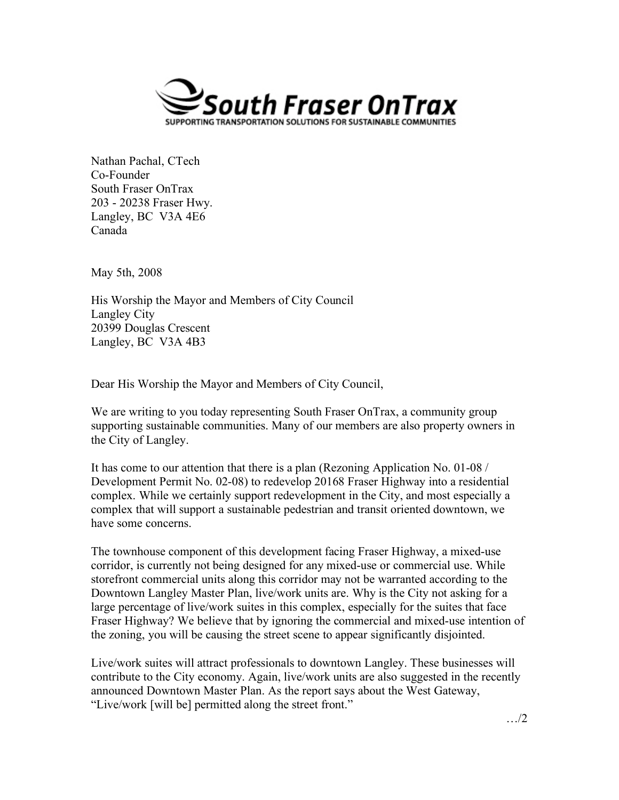

Nathan Pachal, CTech Co-Founder South Fraser OnTrax 203 - 20238 Fraser Hwy. Langley, BC V3A 4E6 Canada

May 5th, 2008

His Worship the Mayor and Members of City Council Langley City 20399 Douglas Crescent Langley, BC V3A 4B3

Dear His Worship the Mayor and Members of City Council,

We are writing to you today representing South Fraser OnTrax, a community group supporting sustainable communities. Many of our members are also property owners in the City of Langley.

It has come to our attention that there is a plan (Rezoning Application No. 01-08 / Development Permit No. 02-08) to redevelop 20168 Fraser Highway into a residential complex. While we certainly support redevelopment in the City, and most especially a complex that will support a sustainable pedestrian and transit oriented downtown, we have some concerns.

The townhouse component of this development facing Fraser Highway, a mixed-use corridor, is currently not being designed for any mixed-use or commercial use. While storefront commercial units along this corridor may not be warranted according to the Downtown Langley Master Plan, live/work units are. Why is the City not asking for a large percentage of live/work suites in this complex, especially for the suites that face Fraser Highway? We believe that by ignoring the commercial and mixed-use intention of the zoning, you will be causing the street scene to appear significantly disjointed.

Live/work suites will attract professionals to downtown Langley. These businesses will contribute to the City economy. Again, live/work units are also suggested in the recently announced Downtown Master Plan. As the report says about the West Gateway, "Live/work [will be] permitted along the street front."